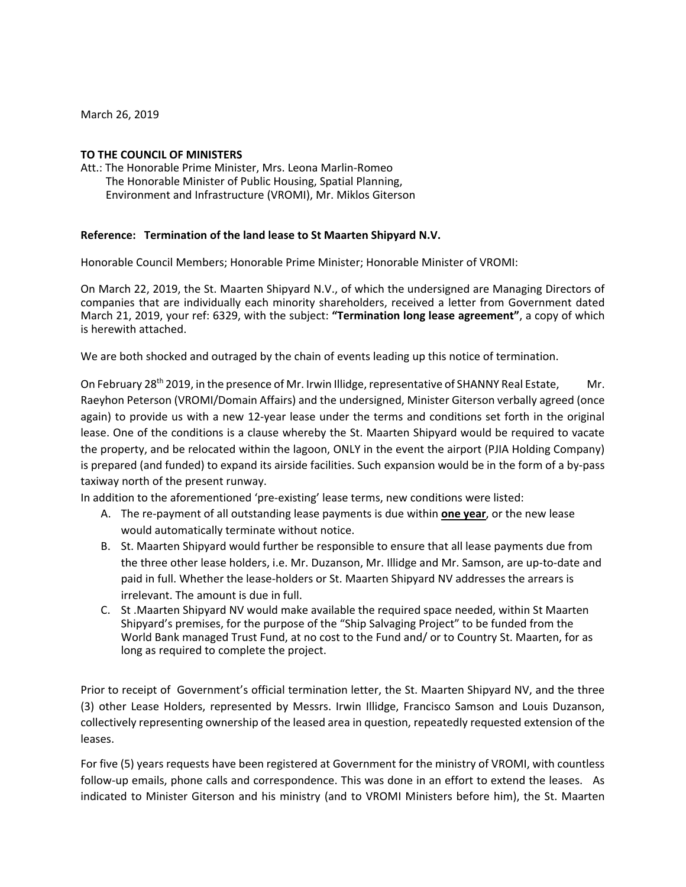March 26, 2019

## **TO THE COUNCIL OF MINISTERS**

Att.: The Honorable Prime Minister, Mrs. Leona Marlin‐Romeo The Honorable Minister of Public Housing, Spatial Planning, Environment and Infrastructure (VROMI), Mr. Miklos Giterson

## **Reference: Termination of the land lease to St Maarten Shipyard N.V.**

Honorable Council Members; Honorable Prime Minister; Honorable Minister of VROMI:

On March 22, 2019, the St. Maarten Shipyard N.V., of which the undersigned are Managing Directors of companies that are individually each minority shareholders, received a letter from Government dated March 21, 2019, your ref: 6329, with the subject: **"Termination long lease agreement"**, a copy of which is herewith attached.

We are both shocked and outraged by the chain of events leading up this notice of termination.

On February 28<sup>th</sup> 2019, in the presence of Mr. Irwin Illidge, representative of SHANNY Real Estate, Mr. Raeyhon Peterson (VROMI/Domain Affairs) and the undersigned, Minister Giterson verbally agreed (once again) to provide us with a new 12‐year lease under the terms and conditions set forth in the original lease. One of the conditions is a clause whereby the St. Maarten Shipyard would be required to vacate the property, and be relocated within the lagoon, ONLY in the event the airport (PJIA Holding Company) is prepared (and funded) to expand its airside facilities. Such expansion would be in the form of a by‐pass taxiway north of the present runway.

In addition to the aforementioned 'pre‐existing' lease terms, new conditions were listed:

- A. The re‐payment of all outstanding lease payments is due within **one year**, or the new lease would automatically terminate without notice.
- B. St. Maarten Shipyard would further be responsible to ensure that all lease payments due from the three other lease holders, i.e. Mr. Duzanson, Mr. Illidge and Mr. Samson, are up‐to‐date and paid in full. Whether the lease-holders or St. Maarten Shipyard NV addresses the arrears is irrelevant. The amount is due in full.
- C. St .Maarten Shipyard NV would make available the required space needed, within St Maarten Shipyard's premises, for the purpose of the "Ship Salvaging Project" to be funded from the World Bank managed Trust Fund, at no cost to the Fund and/ or to Country St. Maarten, for as long as required to complete the project.

Prior to receipt of Government's official termination letter, the St. Maarten Shipyard NV, and the three (3) other Lease Holders, represented by Messrs. Irwin Illidge, Francisco Samson and Louis Duzanson, collectively representing ownership of the leased area in question, repeatedly requested extension of the leases.

For five (5) years requests have been registered at Government for the ministry of VROMI, with countless follow‐up emails, phone calls and correspondence. This was done in an effort to extend the leases. As indicated to Minister Giterson and his ministry (and to VROMI Ministers before him), the St. Maarten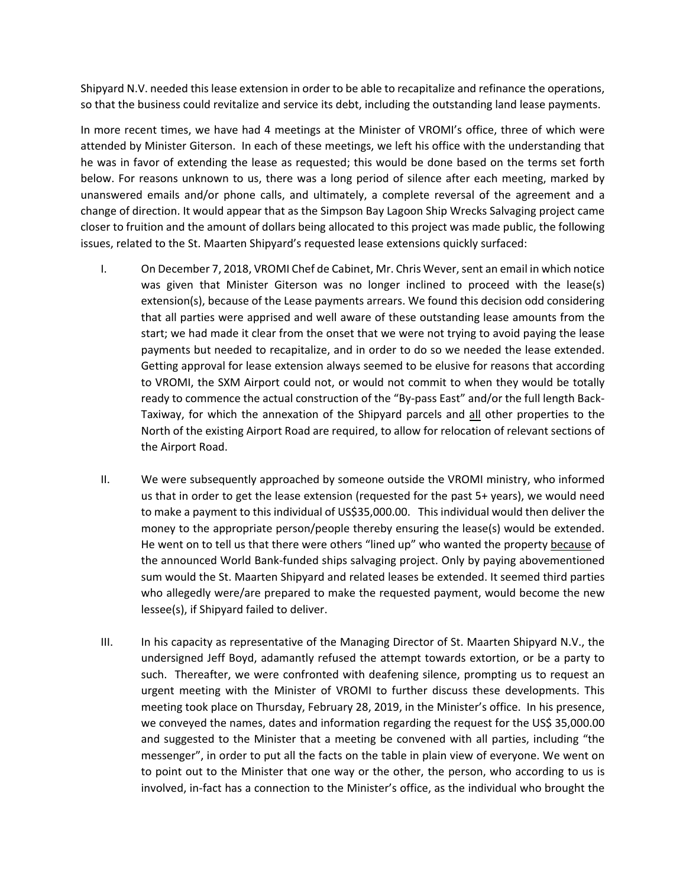Shipyard N.V. needed this lease extension in order to be able to recapitalize and refinance the operations, so that the business could revitalize and service its debt, including the outstanding land lease payments.

In more recent times, we have had 4 meetings at the Minister of VROMI's office, three of which were attended by Minister Giterson. In each of these meetings, we left his office with the understanding that he was in favor of extending the lease as requested; this would be done based on the terms set forth below. For reasons unknown to us, there was a long period of silence after each meeting, marked by unanswered emails and/or phone calls, and ultimately, a complete reversal of the agreement and a change of direction. It would appear that as the Simpson Bay Lagoon Ship Wrecks Salvaging project came closer to fruition and the amount of dollars being allocated to this project was made public, the following issues, related to the St. Maarten Shipyard's requested lease extensions quickly surfaced:

- I. On December 7, 2018, VROMI Chef de Cabinet, Mr. Chris Wever, sent an email in which notice was given that Minister Giterson was no longer inclined to proceed with the lease(s) extension(s), because of the Lease payments arrears. We found this decision odd considering that all parties were apprised and well aware of these outstanding lease amounts from the start; we had made it clear from the onset that we were not trying to avoid paying the lease payments but needed to recapitalize, and in order to do so we needed the lease extended. Getting approval for lease extension always seemed to be elusive for reasons that according to VROMI, the SXM Airport could not, or would not commit to when they would be totally ready to commence the actual construction of the "By‐pass East" and/or the full length Back‐ Taxiway, for which the annexation of the Shipyard parcels and all other properties to the North of the existing Airport Road are required, to allow for relocation of relevant sections of the Airport Road.
- II. We were subsequently approached by someone outside the VROMI ministry, who informed us that in order to get the lease extension (requested for the past 5+ years), we would need to make a payment to this individual of US\$35,000.00. This individual would then deliver the money to the appropriate person/people thereby ensuring the lease(s) would be extended. He went on to tell us that there were others "lined up" who wanted the property because of the announced World Bank‐funded ships salvaging project. Only by paying abovementioned sum would the St. Maarten Shipyard and related leases be extended. It seemed third parties who allegedly were/are prepared to make the requested payment, would become the new lessee(s), if Shipyard failed to deliver.
- III. In his capacity as representative of the Managing Director of St. Maarten Shipyard N.V., the undersigned Jeff Boyd, adamantly refused the attempt towards extortion, or be a party to such. Thereafter, we were confronted with deafening silence, prompting us to request an urgent meeting with the Minister of VROMI to further discuss these developments. This meeting took place on Thursday, February 28, 2019, in the Minister's office. In his presence, we conveyed the names, dates and information regarding the request for the US\$ 35,000.00 and suggested to the Minister that a meeting be convened with all parties, including "the messenger", in order to put all the facts on the table in plain view of everyone. We went on to point out to the Minister that one way or the other, the person, who according to us is involved, in‐fact has a connection to the Minister's office, as the individual who brought the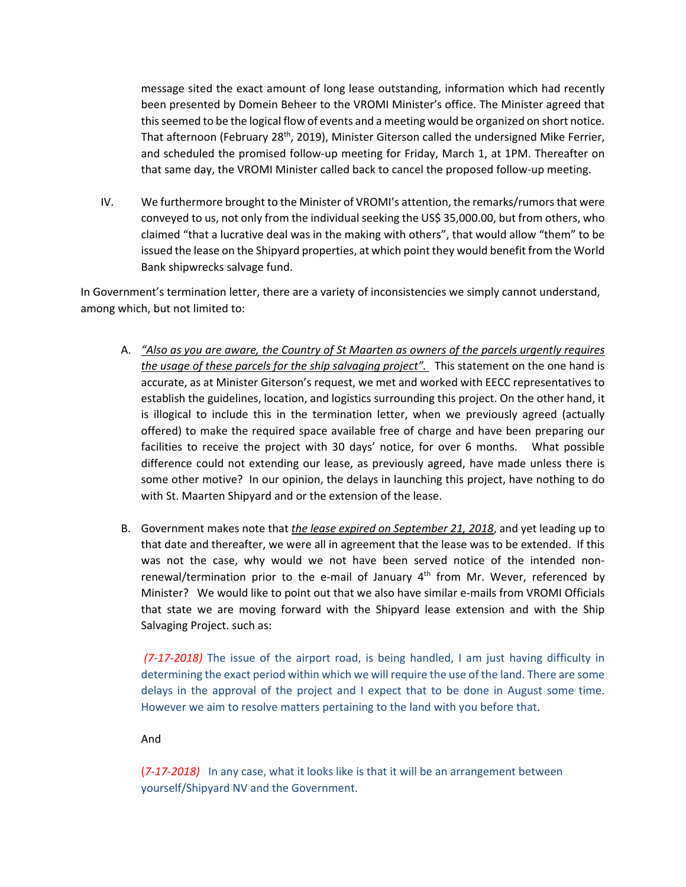message sited the exact amount of long lease outstanding, information which had recently been presented by Domein Beheer to the VROMI Minister's office. The Minister agreed that this seemed to be the logical flow of events and a meeting would be organized on short notice. That afternoon (February 28<sup>th</sup>, 2019), Minister Giterson called the undersigned Mike Ferrier, and scheduled the promised follow‐up meeting for Friday, March 1, at 1PM. Thereafter on that same day, the VROMI Minister called back to cancel the proposed follow‐up meeting.

IV. We furthermore brought to the Minister of VROMI's attention, the remarks/rumors that were conveyed to us, not only from the individual seeking the US\$ 35,000.00, but from others, who claimed "that a lucrative deal was in the making with others", that would allow "them" to be issued the lease on the Shipyard properties, at which point they would benefit from the World Bank shipwrecks salvage fund.

In Government's termination letter, there are a variety of inconsistencies we simply cannot understand, among which, but not limited to:

- A. *"Also as you are aware, the Country of St Maarten as owners of the parcels urgently requires the usage of these parcels for the ship salvaging project".* This statement on the one hand is accurate, as at Minister Giterson's request, we met and worked with EECC representatives to establish the guidelines, location, and logistics surrounding this project. On the other hand, it is illogical to include this in the termination letter, when we previously agreed (actually offered) to make the required space available free of charge and have been preparing our facilities to receive the project with 30 days' notice, for over 6 months. What possible difference could not extending our lease, as previously agreed, have made unless there is some other motive? In our opinion, the delays in launching this project, have nothing to do with St. Maarten Shipyard and or the extension of the lease.
- B. Government makes note that *the lease expired on September 21, 2018*, and yet leading up to that date and thereafter, we were all in agreement that the lease was to be extended. If this was not the case, why would we not have been served notice of the intended nonrenewal/termination prior to the e-mail of January  $4<sup>th</sup>$  from Mr. Wever, referenced by Minister? We would like to point out that we also have similar e-mails from VROMI Officials that state we are moving forward with the Shipyard lease extension and with the Ship Salvaging Project. such as:

*(7-17-2018)* The issue of the airport road, is being handled, I am just having difficulty in determining the exact period within which we will require the use of the land. There are some delays in the approval of the project and I expect that to be done in August some time. However we aim to resolve matters pertaining to the land with you before that.

And

(*7‐17‐2018)* In any case, what it looks like is that it will be an arrangement between yourself/Shipyard NV and the Government.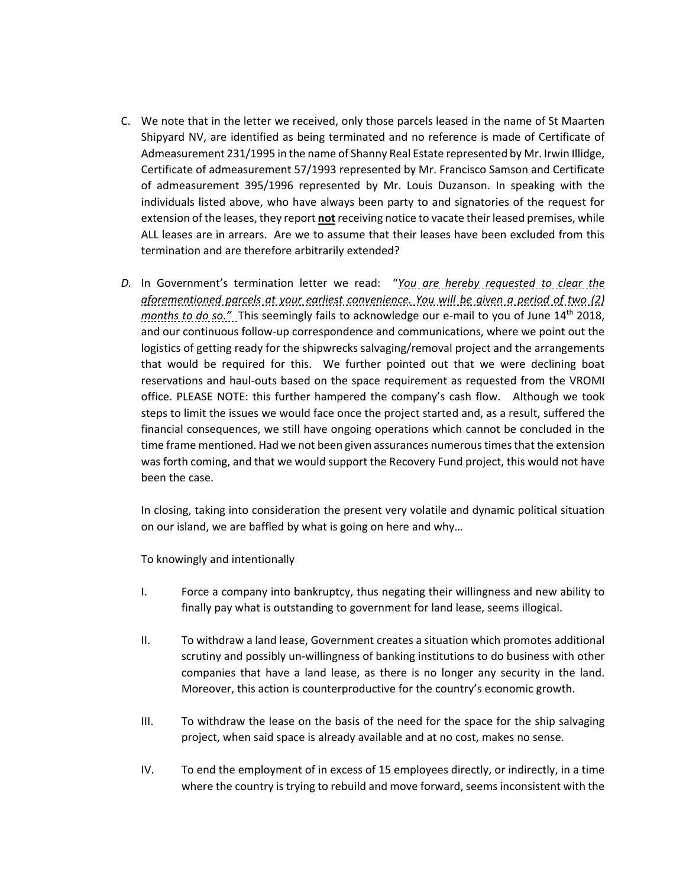- C. We note that in the letter we received, only those parcels leased in the name of St Maarten Shipyard NV, are identified as being terminated and no reference is made of Certificate of Admeasurement 231/1995 in the name of Shanny Real Estate represented by Mr. Irwin Illidge, Certificate of admeasurement 57/1993 represented by Mr. Francisco Samson and Certificate of admeasurement 395/1996 represented by Mr. Louis Duzanson. In speaking with the individuals listed above, who have always been party to and signatories of the request for extension of the leases, they report **not** receiving notice to vacate their leased premises, while ALL leases are in arrears. Are we to assume that their leases have been excluded from this termination and are therefore arbitrarily extended?
- *D.* In Government's termination letter we read: "*You are hereby requested to clear the aforementioned parcels at your earliest convenience. You will be given a period of two (2) months to do so."* This seemingly fails to acknowledge our e-mail to you of June 14<sup>th</sup> 2018, and our continuous follow‐up correspondence and communications, where we point out the logistics of getting ready for the shipwrecks salvaging/removal project and the arrangements that would be required for this. We further pointed out that we were declining boat reservations and haul‐outs based on the space requirement as requested from the VROMI office. PLEASE NOTE: this further hampered the company's cash flow. Although we took steps to limit the issues we would face once the project started and, as a result, suffered the financial consequences, we still have ongoing operations which cannot be concluded in the time frame mentioned. Had we not been given assurances numerous times that the extension was forth coming, and that we would support the Recovery Fund project, this would not have been the case.

In closing, taking into consideration the present very volatile and dynamic political situation on our island, we are baffled by what is going on here and why…

To knowingly and intentionally

- I. Force a company into bankruptcy, thus negating their willingness and new ability to finally pay what is outstanding to government for land lease, seems illogical.
- II. To withdraw a land lease, Government creates a situation which promotes additional scrutiny and possibly un‐willingness of banking institutions to do business with other companies that have a land lease, as there is no longer any security in the land. Moreover, this action is counterproductive for the country's economic growth.
- III. To withdraw the lease on the basis of the need for the space for the ship salvaging project, when said space is already available and at no cost, makes no sense.
- IV. To end the employment of in excess of 15 employees directly, or indirectly, in a time where the country is trying to rebuild and move forward, seems inconsistent with the